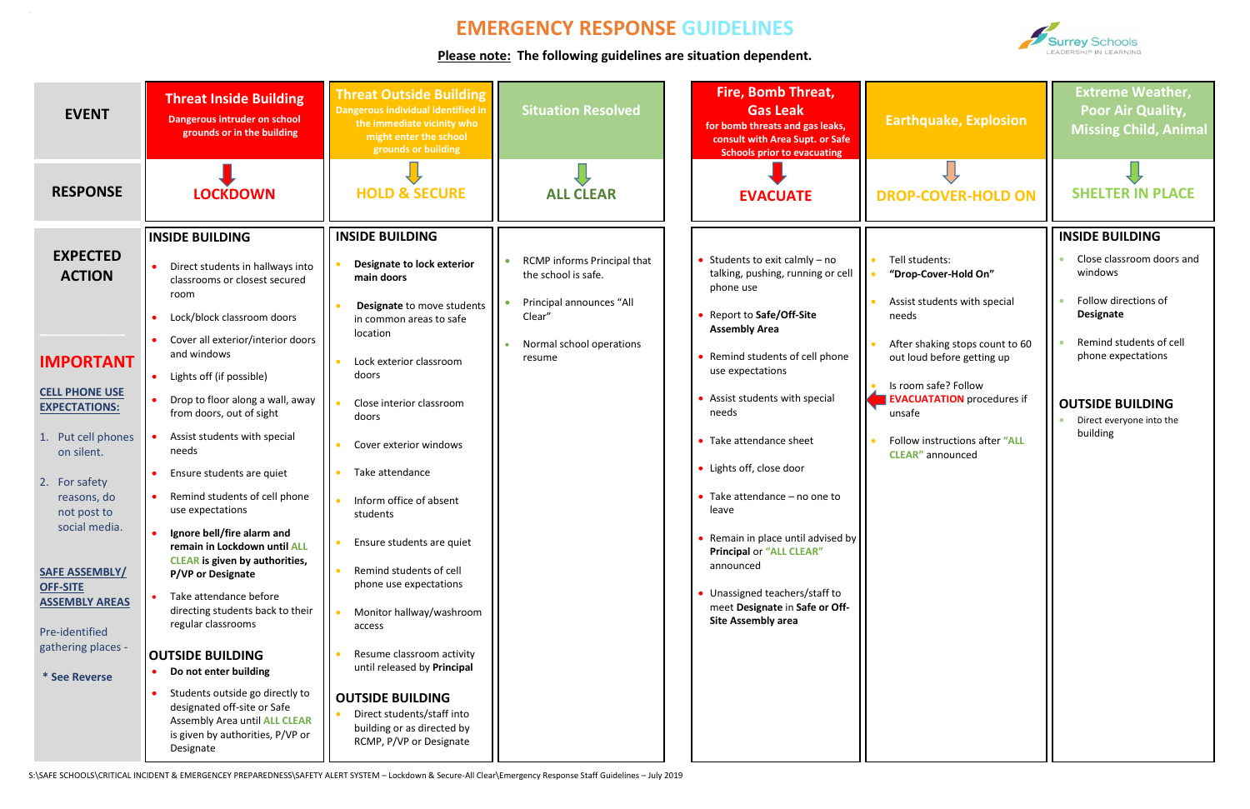S:\SAFE SCHOOLS\CRITICAL INCIDENT & EMERGENCEY PREPAREDNESS\SAFETY ALERT SYSTEM – Lockdown & Secure-All Clear\Emergency Response Staff Guidelines – July 2019



## **EMERGENCY RESPONSE GUIDELINES**

**Please note: The following guidelines are situation dependent.**



**Extreme Weather, Poor Air Quality, Missing Child, Animal**



| <b>EVENT</b>                                                                                                                                                                                                                       | <b>Threat Inside Building</b><br>Dangerous intruder on school<br>grounds or in the building                                                                                                                                                                                                                                                                                                                                                                                                                                              | <b>Threat Outside Building</b><br>Dangerous individual identified in<br>the immediate vicinity who<br>might enter the school<br>grounds or building                                                                                                                                                                                                                                    | <b>Situation Resolved</b>                                                                                                      | <b>Fire, Bomb Threat,</b><br><b>Gas Leak</b><br>for bomb threats and gas leaks,<br>consult with Area Supt. or Safe<br><b>Schools prior to evacuating</b>                                                                                                                                                                                                                                                                   | <b>Earthquake, Explosion</b>                                                                                                                                                                                                                                                         | <b>Extreme Weather,</b><br><b>Poor Air Quality,</b><br><b>Missing Child, Anim</b>                                                                                                                                      |
|------------------------------------------------------------------------------------------------------------------------------------------------------------------------------------------------------------------------------------|------------------------------------------------------------------------------------------------------------------------------------------------------------------------------------------------------------------------------------------------------------------------------------------------------------------------------------------------------------------------------------------------------------------------------------------------------------------------------------------------------------------------------------------|----------------------------------------------------------------------------------------------------------------------------------------------------------------------------------------------------------------------------------------------------------------------------------------------------------------------------------------------------------------------------------------|--------------------------------------------------------------------------------------------------------------------------------|----------------------------------------------------------------------------------------------------------------------------------------------------------------------------------------------------------------------------------------------------------------------------------------------------------------------------------------------------------------------------------------------------------------------------|--------------------------------------------------------------------------------------------------------------------------------------------------------------------------------------------------------------------------------------------------------------------------------------|------------------------------------------------------------------------------------------------------------------------------------------------------------------------------------------------------------------------|
| <b>RESPONSE</b>                                                                                                                                                                                                                    | <b>LOCKDOWN</b>                                                                                                                                                                                                                                                                                                                                                                                                                                                                                                                          | <b>HOLD &amp; SECURE</b>                                                                                                                                                                                                                                                                                                                                                               | <b>ALL CLEAR</b>                                                                                                               | <b>EVACUATE</b>                                                                                                                                                                                                                                                                                                                                                                                                            | <b>DROP-COVER-HOLD ON</b>                                                                                                                                                                                                                                                            | <b>SHELTER IN PLACE</b>                                                                                                                                                                                                |
| <b>EXPECTED</b><br><b>ACTION</b><br><b>IMPORTANT</b><br><b>CELL PHONE USE</b><br><b>EXPECTATIONS:</b><br>1. Put cell phones<br>on silent.<br>2. For safety<br>reasons, do<br>not post to<br>social media.<br><b>SAFE ASSEMBLY/</b> | <b>INSIDE BUILDING</b><br>Direct students in hallways into<br>classrooms or closest secured<br>room<br>Lock/block classroom doors<br>Cover all exterior/interior doors<br>and windows<br>Lights off (if possible)<br>Drop to floor along a wall, away<br>from doors, out of sight<br>Assist students with special<br>needs<br>Ensure students are quiet<br>Remind students of cell phone<br>use expectations<br>Ignore bell/fire alarm and<br>remain in Lockdown until ALL<br><b>CLEAR</b> is given by authorities,<br>P/VP or Designate | <b>INSIDE BUILDING</b><br>Designate to lock exterior<br>main doors<br>Designate to move students<br>in common areas to safe<br>location<br>Lock exterior classroom<br>doors<br>Close interior classroom<br>doors<br>Cover exterior windows<br>Take attendance<br>Inform office of absent<br>students<br>Ensure students are quiet<br>Remind students of cell<br>phone use expectations | RCMP informs Principal that<br>the school is safe.<br>Principal announces "All<br>Clear'<br>Normal school operations<br>resume | Students to exit calmly $-$ no<br>talking, pushing, running or cell<br>phone use<br>Report to Safe/Off-Site<br><b>Assembly Area</b><br>Remind students of cell phone<br>use expectations<br>• Assist students with special<br>needs<br>• Take attendance sheet<br>• Lights off, close door<br>• Take attendance $-$ no one to<br>leave<br>Remain in place until advised by<br><b>Principal or "ALL CLEAR"</b><br>announced | Tell students:<br>"Drop-Cover-Hold On"<br>Assist students with special<br>needs<br>After shaking stops count to 60<br>out loud before getting up<br>Is room safe? Follow<br><b>EVACUATATION</b> procedures if<br>unsafe<br>Follow instructions after "ALL<br><b>CLEAR"</b> announced | <b>INSIDE BUILDING</b><br>Close classroom doors an<br>windows<br>Follow directions of<br>Designate<br>Remind students of cell<br>phone expectations<br><b>OUTSIDE BUILDING</b><br>Direct everyone into the<br>building |
| <b>OFF-SITE</b><br><b>ASSEMBLY AREAS</b><br>Pre-identified<br>gathering places -<br>* See Reverse                                                                                                                                  | Take attendance before<br>directing students back to their<br>regular classrooms<br><b>OUTSIDE BUILDING</b><br>Do not enter building<br>Students outside go directly to<br>designated off-site or Safe<br>Assembly Area until ALL CLEAR<br>is given by authorities, P/VP or<br>Designate                                                                                                                                                                                                                                                 | Monitor hallway/washroom<br>access<br>Resume classroom activity<br>until released by Principal<br><b>OUTSIDE BUILDING</b><br>Direct students/staff into<br>building or as directed by<br>RCMP, P/VP or Designate                                                                                                                                                                       |                                                                                                                                | • Unassigned teachers/staff to<br>meet Designate in Safe or Off-<br><b>Site Assembly area</b>                                                                                                                                                                                                                                                                                                                              |                                                                                                                                                                                                                                                                                      |                                                                                                                                                                                                                        |

### **INSIDE BUILDING**

- Close classroom doors and windows
- Follow directions of **Designate**
- Remind students of cell phone expectations

### **OUTSIDE BUILDING**